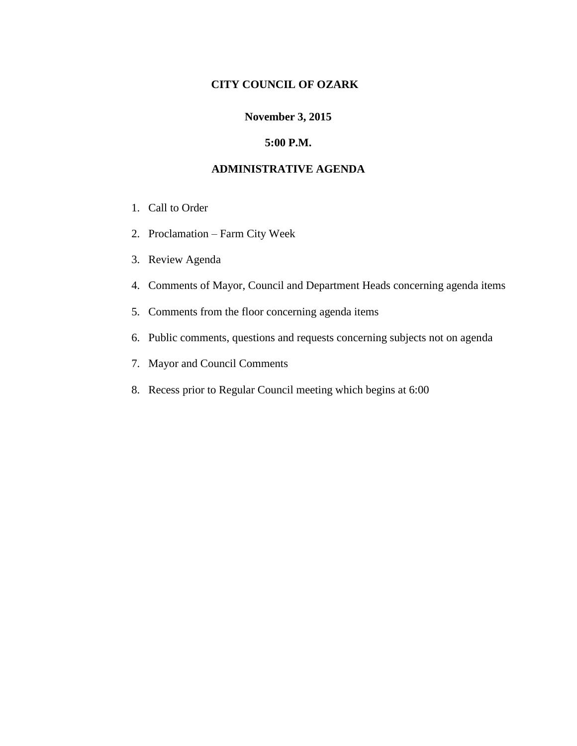### **CITY COUNCIL OF OZARK**

## **November 3, 2015**

#### **5:00 P.M.**

#### **ADMINISTRATIVE AGENDA**

- 1. Call to Order
- 2. Proclamation Farm City Week
- 3. Review Agenda
- 4. Comments of Mayor, Council and Department Heads concerning agenda items
- 5. Comments from the floor concerning agenda items
- 6. Public comments, questions and requests concerning subjects not on agenda
- 7. Mayor and Council Comments
- 8. Recess prior to Regular Council meeting which begins at 6:00